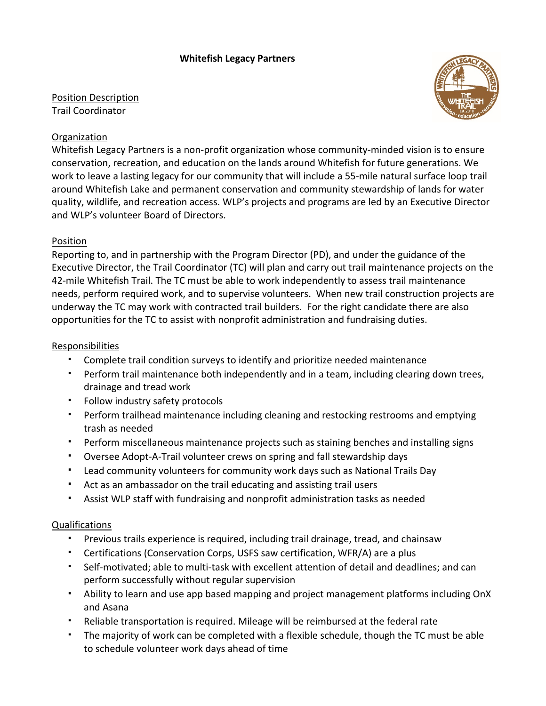## **Whitefish Legacy Partners**

Position Description Trail Coordinator



## Organization

Whitefish Legacy Partners is a non-profit organization whose community-minded vision is to ensure conservation, recreation, and education on the lands around Whitefish for future generations. We work to leave a lasting legacy for our community that will include a 55-mile natural surface loop trail around Whitefish Lake and permanent conservation and community stewardship of lands for water quality, wildlife, and recreation access. WLP's projects and programs are led by an Executive Director and WLP's volunteer Board of Directors.

### Position

Reporting to, and in partnership with the Program Director (PD), and under the guidance of the Executive Director, the Trail Coordinator (TC) will plan and carry out trail maintenance projects on the 42-mile Whitefish Trail. The TC must be able to work independently to assess trail maintenance needs, perform required work, and to supervise volunteers. When new trail construction projects are underway the TC may work with contracted trail builders. For the right candidate there are also opportunities for the TC to assist with nonprofit administration and fundraising duties.

#### Responsibilities

- Complete trail condition surveys to identify and prioritize needed maintenance
- Perform trail maintenance both independently and in a team, including clearing down trees, drainage and tread work
- Follow industry safety protocols
- Perform trailhead maintenance including cleaning and restocking restrooms and emptying trash as needed
- Perform miscellaneous maintenance projects such as staining benches and installing signs
- Oversee Adopt-A-Trail volunteer crews on spring and fall stewardship days
- Lead community volunteers for community work days such as National Trails Day
- Act as an ambassador on the trail educating and assisting trail users
- Assist WLP staff with fundraising and nonprofit administration tasks as needed

### Qualifications

- Previous trails experience is required, including trail drainage, tread, and chainsaw
- Certifications (Conservation Corps, USFS saw certification, WFR/A) are a plus
- Self-motivated; able to multi-task with excellent attention of detail and deadlines; and can perform successfully without regular supervision
- Ability to learn and use app based mapping and project management platforms including OnX and Asana
- Reliable transportation is required. Mileage will be reimbursed at the federal rate
- The majority of work can be completed with a flexible schedule, though the TC must be able to schedule volunteer work days ahead of time